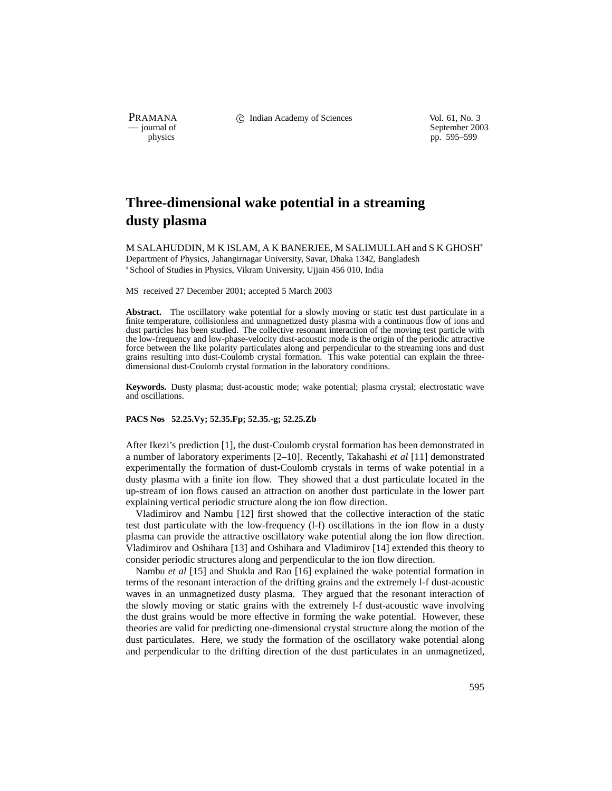PRAMANA C Indian Academy of Sciences Vol. 61, No. 3<br>
— journal of September 200

physics<br>
a physics<br>
pp. 595–599<br>
pp. 595–599 pp. 595–599

# **Three-dimensional wake potential in a streaming dusty plasma**

M SALAHUDDIN, M K ISLAM, A K BANERJEE, M SALIMULLAH and S K GHOSH Department of Physics, Jahangirnagar University, Savar, Dhaka 1342, Bangladesh School of Studies in Physics, Vikram University, Ujjain 456 010, India

MS received 27 December 2001; accepted 5 March 2003

Abstract. The oscillatory wake potential for a slowly moving or static test dust particulate in a finite temperature, collisionless and unmagnetized dusty plasma with a continuous flow of ions and dust particles has been studied. The collective resonant interaction of the moving test particle with the low-frequency and low-phase-velocity dust-acoustic mode is the origin of the periodic attractive force between the like polarity particulates along and perpendicular to the streaming ions and dust grains resulting into dust-Coulomb crystal formation. This wake potential can explain the threedimensional dust-Coulomb crystal formation in the laboratory conditions.

**Keywords.** Dusty plasma; dust-acoustic mode; wake potential; plasma crystal; electrostatic wave and oscillations.

## **PACS Nos 52.25.Vy; 52.35.Fp; 52.35.-g; 52.25.Zb**

After Ikezi's prediction [1], the dust-Coulomb crystal formation has been demonstrated in a number of laboratory experiments [2–10]. Recently, Takahashi *et al* [11] demonstrated experimentally the formation of dust-Coulomb crystals in terms of wake potential in a dusty plasma with a finite ion flow. They showed that a dust particulate located in the up-stream of ion flows caused an attraction on another dust particulate in the lower part explaining vertical periodic structure along the ion flow direction.

Vladimirov and Nambu [12] first showed that the collective interaction of the static test dust particulate with the low-frequency (l-f) oscillations in the ion flow in a dusty plasma can provide the attractive oscillatory wake potential along the ion flow direction. Vladimirov and Oshihara [13] and Oshihara and Vladimirov [14] extended this theory to consider periodic structures along and perpendicular to the ion flow direction.

Nambu *et al* [15] and Shukla and Rao [16] explained the wake potential formation in terms of the resonant interaction of the drifting grains and the extremely l-f dust-acoustic waves in an unmagnetized dusty plasma. They argued that the resonant interaction of the slowly moving or static grains with the extremely l-f dust-acoustic wave involving the dust grains would be more effective in forming the wake potential. However, these theories are valid for predicting one-dimensional crystal structure along the motion of the dust particulates. Here, we study the formation of the oscillatory wake potential along and perpendicular to the drifting direction of the dust particulates in an unmagnetized,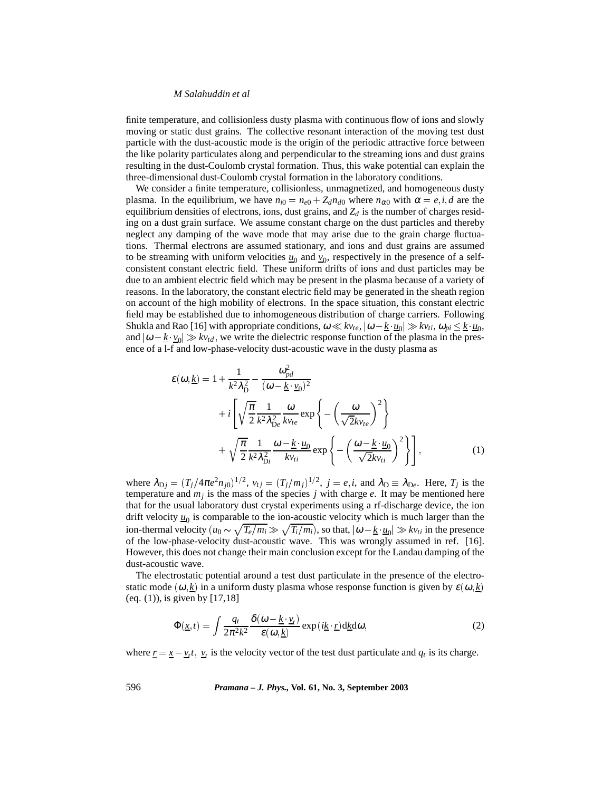#### *M Salahuddin et al*

finite temperature, and collisionless dusty plasma with continuous flow of ions and slowly moving or static dust grains. The collective resonant interaction of the moving test dust particle with the dust-acoustic mode is the origin of the periodic attractive force between the like polarity particulates along and perpendicular to the streaming ions and dust grains resulting in the dust-Coulomb crystal formation. Thus, this wake potential can explain the three-dimensional dust-Coulomb crystal formation in the laboratory conditions.

We consider a finite temperature, collisionless, unmagnetized, and homogeneous dusty plasma. In the equilibrium, we have  $n_{i0} = n_{e0} + Z_d n_{d0}$  where  $n_{\alpha 0}$  with  $\alpha = e, i, d$  are the equilibrium densities of electrons, ions, dust grains, and  $Z_d$  is the number of charges residing on a dust grain surface. We assume constant charge on the dust particles and thereby neglect any damping of the wave mode that may arise due to the grain charge fluctuations. Thermal electrons are assumed stationary, and ions and dust grains are assumed to be streaming with uniform velocities  $u_0$  and  $v_0$ , respectively in the presence of a selfconsistent constant electric field. These uniform drifts of ions and dust particles may be due to an ambient electric field which may be present in the plasma because of a variety of reasons. In the laboratory, the constant electric field may be generated in the sheath region on account of the high mobility of electrons. In the space situation, this constant electric field may be established due to inhomogeneous distribution of charge carriers. Following Shukla and Rao [16] with appropriate conditions,  $\omega \ll k v_{te}$ ,  $|\omega - \underline{k} \cdot \underline{u}_0| \gg k v_{ti}$ ,  $\omega_{pi} \leq \underline{k} \cdot \underline{u}_0$ , and  $|\omega - \underline{k} \cdot \underline{v}_0| \gg k v_{td}$ , we write the dielectric response function of the plasma in the presence of a l-f and low-phase-velocity dust-acoustic wave in the dusty plasma as

$$
\varepsilon(\omega, \underline{k}) = 1 + \frac{1}{k^2 \lambda_D^2} - \frac{\omega_{pd}^2}{(\omega - \underline{k} \cdot \underline{v}_0)^2} \n+ i \left[ \sqrt{\frac{\pi}{2}} \frac{1}{k^2 \lambda_{De}^2} \frac{\omega}{kv_{te}} \exp \left\{ - \left( \frac{\omega}{\sqrt{2} k v_{te}} \right)^2 \right\} \n+ \sqrt{\frac{\pi}{2}} \frac{1}{k^2 \lambda_{Di}^2} \frac{\omega - \underline{k} \cdot \underline{u}_0}{kv_{ti}} \exp \left\{ - \left( \frac{\omega - \underline{k} \cdot \underline{u}_0}{\sqrt{2} k v_{ti}} \right)^2 \right\} \right],
$$
\n(1)

where  $\lambda_{\text{D}j} = (T_j/4\pi e^2 n_{j0})^{1/2}$ ,  $v_{tj} = (T_j/m_j)^{1/2}$ ,  $j = e, i$ , and  $\lambda_{\text{D}} \equiv \lambda_{\text{D}e}$ . Here,  $T_j$  is the temperature and *mj* is the mass of the species *j* with charge *e*. It may be mentioned here that for the usual laboratory dust crystal experiments using a rf-discharge device, the ion drift velocity  $\underline{u}_0$  is comparable to the ion-acoustic velocity which is much larger than the ion-thermal velocity  $(u_0 \sim \sqrt{T_e/m_i} \gg \sqrt{T_i/m_i})$ , so that,  $|\omega - \underline{k} \cdot \underline{u}_0| \gg k v_{ti}$  in the presence of the low-phase-velocity dust-acoustic wave. This was wrongly assumed in ref. [16]. However, this does not change their main conclusion except for the Landau damping of the dust-acoustic wave.

The electrostatic potential around a test dust particulate in the presence of the electrostatic mode  $(\omega, k)$  in a uniform dusty plasma whose response function is given by  $\varepsilon(\omega, k)$ (eq. (1)), is given by [17,18]

$$
\Phi(\underline{x},t) = \int \frac{q_t}{2\pi^2 k^2} \frac{\delta(\omega - \underline{k} \cdot \underline{v}_t)}{\varepsilon(\omega, \underline{k})} \exp(i \underline{k} \cdot \underline{r}) d\underline{k} d\omega, \tag{2}
$$

where  $\underline{r} = \underline{x} - \underline{v}_t t$ ,  $\underline{v}_t$  is the velocity vector of the test dust particulate and  $q_t$  is its charge.

596 *Pramana – J. Phys.,* **Vol. 61, No. 3, September 2003**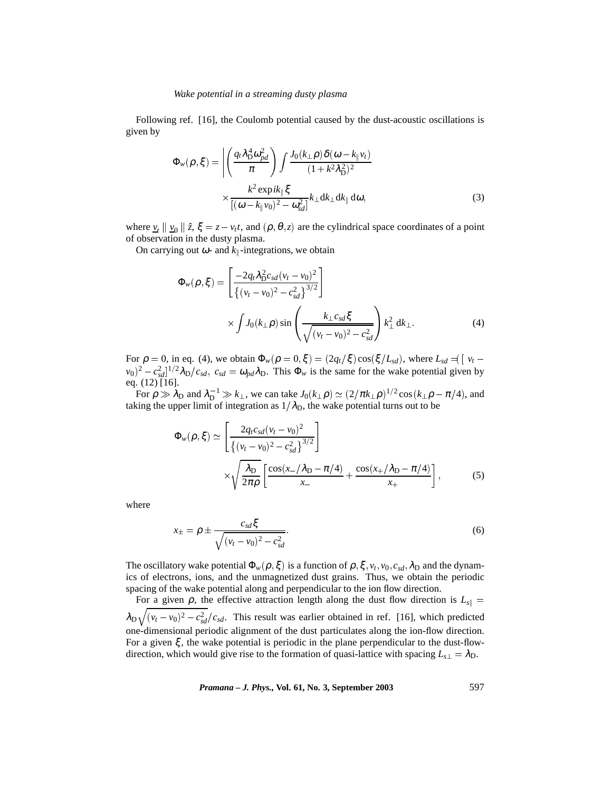Following ref. [16], the Coulomb potential caused by the dust-acoustic oscillations is given by

$$
\Phi_{w}(\rho,\xi) = \left| \left( \frac{q_t \lambda_D^4 \omega_{pd}^2}{\pi} \right) \int \frac{J_0(k_{\perp} \rho) \delta(\omega - k_{\parallel} v_t)}{(1 + k^2 \lambda_D^2)^2} \times \frac{k^2 \exp ik_{\parallel} \xi}{[(\omega - k_{\parallel} v_0)^2 - \omega_{sd}^2]} k_{\perp} dk_{\perp} dk_{\parallel} d\omega, \tag{3}
$$

where  $\underline{v}_t \parallel \underline{v}_0 \parallel \hat{z}, \xi = z - v_t t$ , and  $(\rho, \theta, z)$  are the cylindrical space coordinates of a point of observation in the dusty plasma.

On carrying out  $\omega$ - and  $k_{\parallel}$ -integrations, we obtain

$$
\Phi_{w}(\rho,\xi) = \left[\frac{-2q_t\lambda_{\rm D}^2c_{sd}(v_t - v_0)^2}{\{(v_t - v_0)^2 - c_{sd}^2\}^{3/2}}\right] \times \int J_0(k_{\perp}\rho)\sin\left(\frac{k_{\perp}c_{sd}\xi}{\sqrt{(v_t - v_0)^2 - c_{sd}^2}}\right) k_{\perp}^2 \,d k_{\perp}.
$$
\n(4)

For  $\rho = 0$ , in eq. (4), we obtain  $\Phi_w(\rho = 0, \xi) = (2q_t/\xi) \cos(\xi/L_{sd})$ , where  $L_{sd} \preceq [v_t - \xi]$  $(v_0)^2 - c_{sd}^2$   $\frac{1}{2} \lambda_D/c_{sd}$ ,  $c_{sd} = \omega_{pd} \lambda_D$ . This  $\Phi_w$  is the same for the wake potential given by eq. (12) [16].

For  $\rho \gg \lambda_D$  and  $\lambda_D^{-1} \gg k_\perp$ , we can take  $J_0(k_\perp \rho) \simeq (2/\pi k_\perp \rho)^{1/2} \cos(k_\perp \rho - \pi/4)$ , and taking the upper limit of integration as  $1/\lambda_\text{D}$ , the wake potential turns out to be

$$
\Phi_{w}(\rho,\xi) \simeq \left[ \frac{2q_t c_{sd} (v_t - v_0)^2}{\left\{ (v_t - v_0)^2 - c_{sd}^2 \right\}^{3/2}} \right] \times \sqrt{\frac{\lambda_{\rm D}}{2\pi \rho} \left[ \frac{\cos(x - / \lambda_{\rm D} - \pi/4)}{x_-} + \frac{\cos(x + / \lambda_{\rm D} - \pi/4)}{x_+} \right]},
$$
(5)

where

$$
x_{\pm} = \rho \pm \frac{c_{sd}\xi}{\sqrt{(v_t - v_0)^2 - c_{sd}^2}}.
$$
\n(6)

The oscillatory wake potential  $\Phi_w(\rho, \xi)$  is a function of  $\rho, \xi, v_t, v_0, c_{sd}, \lambda_D$  and the dynamics of electrons, ions, and the unmagnetized dust grains. Thus, we obtain the periodic spacing of the wake potential along and perpendicular to the ion flow direction.

For a given  $\rho$ , the effective attraction length along the dust flow direction is  $L_{s||}$  =  $\lambda_{\rm D} \sqrt{(v_t - v_0)^2 - c_{sd}^2/c_{sd}}$ . This result was earlier obtained in ref. [16], which predicted one-dimensional periodic alignment of the dust particulates along the ion-flow direction. For a given ξ , the wake potential is periodic in the plane perpendicular to the dust-flowdirection, which would give rise to the formation of quasi-lattice with spacing  $L_{s\perp} = \lambda_{D}$ .

*Pramana – J. Phys.,* **Vol. 61, No. 3, September 2003** 597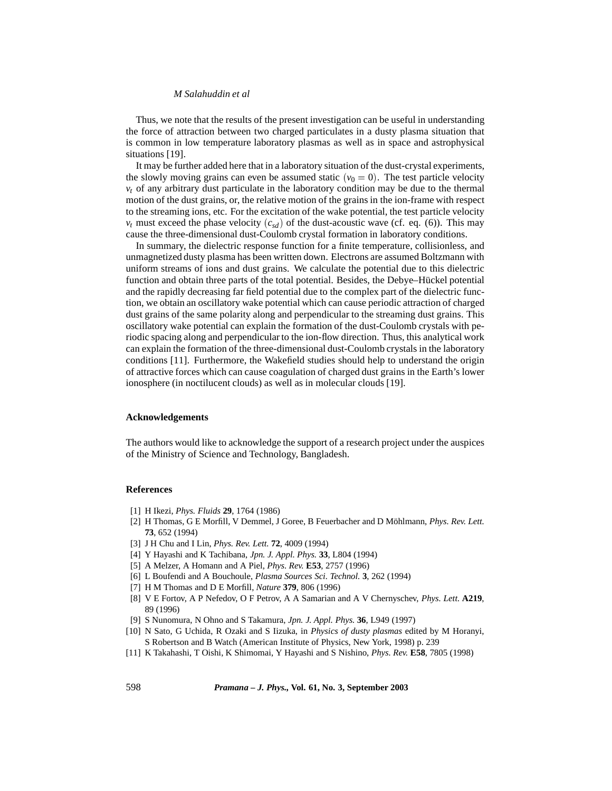# *M Salahuddin et al*

Thus, we note that the results of the present investigation can be useful in understanding the force of attraction between two charged particulates in a dusty plasma situation that is common in low temperature laboratory plasmas as well as in space and astrophysical situations [19].

It may be further added here that in a laboratory situation of the dust-crystal experiments, the slowly moving grains can even be assumed static  $(v_0 = 0)$ . The test particle velocity  $v_t$  of any arbitrary dust particulate in the laboratory condition may be due to the thermal motion of the dust grains, or, the relative motion of the grains in the ion-frame with respect to the streaming ions, etc. For the excitation of the wake potential, the test particle velocity  $v_t$  must exceed the phase velocity  $(c_{sd})$  of the dust-acoustic wave (cf. eq. (6)). This may cause the three-dimensional dust-Coulomb crystal formation in laboratory conditions.

In summary, the dielectric response function for a finite temperature, collisionless, and unmagnetized dusty plasma has been written down. Electrons are assumed Boltzmann with uniform streams of ions and dust grains. We calculate the potential due to this dielectric function and obtain three parts of the total potential. Besides, the Debye–Hückel potential and the rapidly decreasing far field potential due to the complex part of the dielectric function, we obtain an oscillatory wake potential which can cause periodic attraction of charged dust grains of the same polarity along and perpendicular to the streaming dust grains. This oscillatory wake potential can explain the formation of the dust-Coulomb crystals with periodic spacing along and perpendicular to the ion-flow direction. Thus, this analytical work can explain the formation of the three-dimensional dust-Coulomb crystals in the laboratory conditions [11]. Furthermore, the Wakefield studies should help to understand the origin of attractive forces which can cause coagulation of charged dust grains in the Earth's lower ionosphere (in noctilucent clouds) as well as in molecular clouds [19].

## **Acknowledgements**

The authors would like to acknowledge the support of a research project under the auspices of the Ministry of Science and Technology, Bangladesh.

### **References**

- [1] H Ikezi, *Phys. Fluids* **29**, 1764 (1986)
- [2] H Thomas, G E Morfill, V Demmel, J Goree, B Feuerbacher and D Möhlmann, *Phys. Rev. Lett.* **73**, 652 (1994)
- [3] J H Chu and I Lin, *Phys. Rev. Lett.* **72**, 4009 (1994)
- [4] Y Hayashi and K Tachibana, *Jpn. J. Appl. Phys.* **33**, L804 (1994)
- [5] A Melzer, A Homann and A Piel, *Phys. Rev.* **E53**, 2757 (1996)
- [6] L Boufendi and A Bouchoule, *Plasma Sources Sci. Technol.* **3**, 262 (1994)
- [7] H M Thomas and D E Morfill, *Nature* **379**, 806 (1996)
- [8] V E Fortov, A P Nefedov, O F Petrov, A A Samarian and A V Chernyschev, *Phys. Lett.* **A219**, 89 (1996)
- [9] S Nunomura, N Ohno and S Takamura, *Jpn. J. Appl. Phys.* **36**, L949 (1997)
- [10] N Sato, G Uchida, R Ozaki and S Iizuka, in *Physics of dusty plasmas* edited by M Horanyi, S Robertson and B Watch (American Institute of Physics, New York, 1998) p. 239
- [11] K Takahashi, T Oishi, K Shimomai, Y Hayashi and S Nishino, *Phys. Rev.* **E58**, 7805 (1998)

598 *Pramana – J. Phys.,* **Vol. 61, No. 3, September 2003**